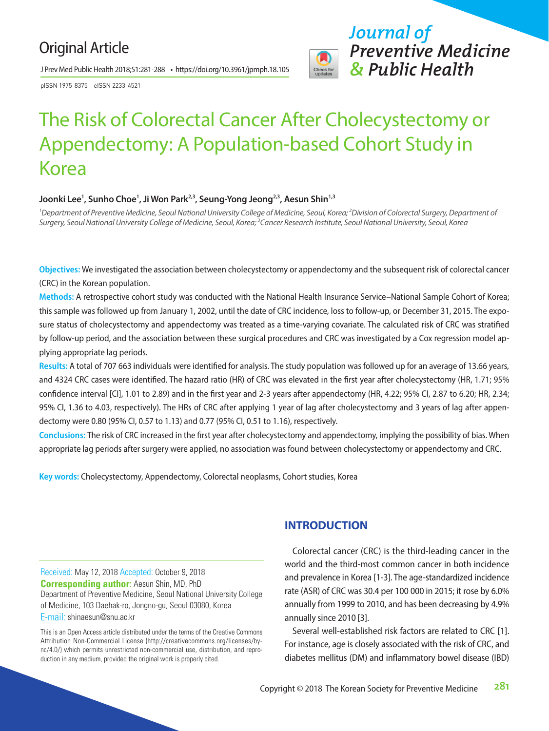## Original Article

J Prev Med Public Health 2018;51:281-288 • https://doi.org/10.3961/jpmph.18.105

pISSN 1975-8375 eISSN 2233-4521



# The Risk of Colorectal Cancer After Cholecystectomy or Appendectomy: A Population-based Cohort Study in Korea

## Joonki Lee<sup>1</sup>, Sunho Choe<sup>1</sup>, Ji Won Park<sup>2,3</sup>, Seung-Yong Jeong<sup>2,3</sup>, Aesun Shin'<sup>,3</sup>

*1 Department of Preventive Medicine, Seoul National University College of Medicine, Seoul, Korea; 2 Division of Colorectal Surgery, Department of Surgery, Seoul National University College of Medicine, Seoul, Korea; 3 Cancer Research Institute, Seoul National University, Seoul, Korea*

**Objectives:** We investigated the association between cholecystectomy or appendectomy and the subsequent risk of colorectal cancer (CRC) in the Korean population.

**Methods:** A retrospective cohort study was conducted with the National Health Insurance Service–National Sample Cohort of Korea; this sample was followed up from January 1, 2002, until the date of CRC incidence, loss to follow-up, or December 31, 2015. The exposure status of cholecystectomy and appendectomy was treated as a time-varying covariate. The calculated risk of CRC was stratified by follow-up period, and the association between these surgical procedures and CRC was investigated by a Cox regression model applying appropriate lag periods.

**Results:** A total of 707 663 individuals were identified for analysis. The study population was followed up for an average of 13.66 years, and 4324 CRC cases were identified. The hazard ratio (HR) of CRC was elevated in the first year after cholecystectomy (HR, 1.71; 95% confidence interval [CI], 1.01 to 2.89) and in the first year and 2-3 years after appendectomy (HR, 4.22; 95% CI, 2.87 to 6.20; HR, 2.34; 95% CI, 1.36 to 4.03, respectively). The HRs of CRC after applying 1 year of lag after cholecystectomy and 3 years of lag after appendectomy were 0.80 (95% CI, 0.57 to 1.13) and 0.77 (95% CI, 0.51 to 1.16), respectively.

**Conclusions:** The risk of CRC increased in the first year after cholecystectomy and appendectomy, implying the possibility of bias. When appropriate lag periods after surgery were applied, no association was found between cholecystectomy or appendectomy and CRC.

**Key words:** Cholecystectomy, Appendectomy, Colorectal neoplasms, Cohort studies, Korea

Received: May 12, 2018 Accepted: October 9, 2018 **Corresponding author:** Aesun Shin, MD, PhD Department of Preventive Medicine, Seoul National University College of Medicine, 103 Daehak-ro, Jongno-gu, Seoul 03080, Korea E-mail: shinaesun@snu.ac.kr

This is an Open Access article distributed under the terms of the Creative Commons Attribution Non-Commercial License (http://creativecommons.org/licenses/bync/4.0/) which permits unrestricted non-commercial use, distribution, and reproduction in any medium, provided the original work is properly cited.

## **INTRODUCTION**

Colorectal cancer (CRC) is the third-leading cancer in the world and the third-most common cancer in both incidence and prevalence in Korea [1-3]. The age-standardized incidence rate (ASR) of CRC was 30.4 per 100 000 in 2015; it rose by 6.0% annually from 1999 to 2010, and has been decreasing by 4.9% annually since 2010 [3].

Several well-established risk factors are related to CRC [1]. For instance, age is closely associated with the risk of CRC, and diabetes mellitus (DM) and inflammatory bowel disease (IBD)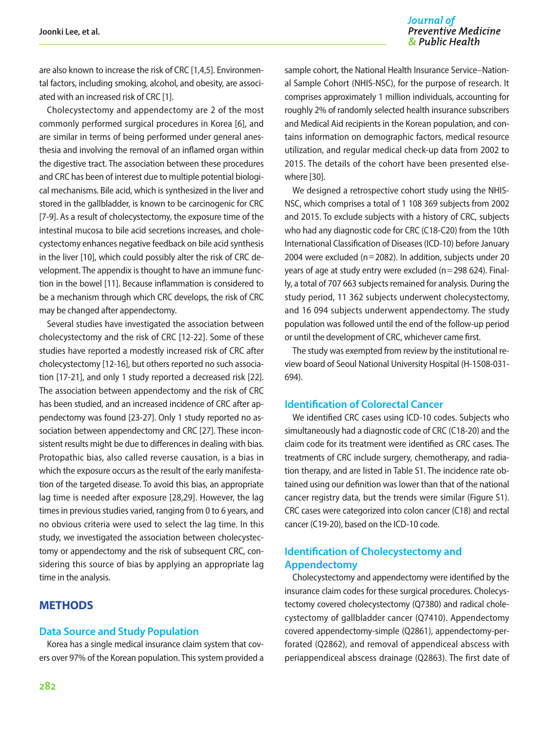#### Journal of **Preventive Medicine** & Public Health

are also known to increase the risk of CRC [1,4,5]. Environmental factors, including smoking, alcohol, and obesity, are associated with an increased risk of CRC [1].

Cholecystectomy and appendectomy are 2 of the most commonly performed surgical procedures in Korea [6], and are similar in terms of being performed under general anesthesia and involving the removal of an inflamed organ within the digestive tract. The association between these procedures and CRC has been of interest due to multiple potential biological mechanisms. Bile acid, which is synthesized in the liver and stored in the gallbladder, is known to be carcinogenic for CRC [7-9]. As a result of cholecystectomy, the exposure time of the intestinal mucosa to bile acid secretions increases, and cholecystectomy enhances negative feedback on bile acid synthesis in the liver [10], which could possibly alter the risk of CRC development. The appendix is thought to have an immune function in the bowel [11]. Because inflammation is considered to be a mechanism through which CRC develops, the risk of CRC may be changed after appendectomy.

Several studies have investigated the association between cholecystectomy and the risk of CRC [12-22]. Some of these studies have reported a modestly increased risk of CRC after cholecystectomy [12-16], but others reported no such association [17-21], and only 1 study reported a decreased risk [22]. The association between appendectomy and the risk of CRC has been studied, and an increased incidence of CRC after appendectomy was found [23-27]. Only 1 study reported no association between appendectomy and CRC [27]. These inconsistent results might be due to differences in dealing with bias. Protopathic bias, also called reverse causation, is a bias in which the exposure occurs as the result of the early manifestation of the targeted disease. To avoid this bias, an appropriate lag time is needed after exposure [28,29]. However, the lag times in previous studies varied, ranging from 0 to 6 years, and no obvious criteria were used to select the lag time. In this study, we investigated the association between cholecystectomy or appendectomy and the risk of subsequent CRC, considering this source of bias by applying an appropriate lag time in the analysis.

## **METHODS**

#### **Data Source and Study Population**

Korea has a single medical insurance claim system that covers over 97% of the Korean population. This system provided a

sample cohort, the National Health Insurance Service–National Sample Cohort (NHIS-NSC), for the purpose of research. It comprises approximately 1 million individuals, accounting for roughly 2% of randomly selected health insurance subscribers and Medical Aid recipients in the Korean population, and contains information on demographic factors, medical resource utilization, and regular medical check-up data from 2002 to 2015. The details of the cohort have been presented elsewhere [30].

We designed a retrospective cohort study using the NHIS-NSC, which comprises a total of 1 108 369 subjects from 2002 and 2015. To exclude subjects with a history of CRC, subjects who had any diagnostic code for CRC (C18-C20) from the 10th International Classification of Diseases (ICD-10) before January 2004 were excluded (n=2082). In addition, subjects under 20 years of age at study entry were excluded ( $n=298$  624). Finally, a total of 707 663 subjects remained for analysis. During the study period, 11 362 subjects underwent cholecystectomy, and 16 094 subjects underwent appendectomy. The study population was followed until the end of the follow-up period or until the development of CRC, whichever came first.

The study was exempted from review by the institutional review board of Seoul National University Hospital (H-1508-031- 694).

#### **Identification of Colorectal Cancer**

We identified CRC cases using ICD-10 codes. Subjects who simultaneously had a diagnostic code of CRC (C18-20) and the claim code for its treatment were identified as CRC cases. The treatments of CRC include surgery, chemotherapy, and radiation therapy, and are listed in Table S1. The incidence rate obtained using our definition was lower than that of the national cancer registry data, but the trends were similar (Figure S1). CRC cases were categorized into colon cancer (C18) and rectal cancer (C19-20), based on the ICD-10 code.

## **Identification of Cholecystectomy and Appendectomy**

Cholecystectomy and appendectomy were identified by the insurance claim codes for these surgical procedures. Cholecystectomy covered cholecystectomy (Q7380) and radical cholecystectomy of gallbladder cancer (Q7410). Appendectomy covered appendectomy-simple (Q2861), appendectomy-perforated (Q2862), and removal of appendiceal abscess with periappendiceal abscess drainage (Q2863). The first date of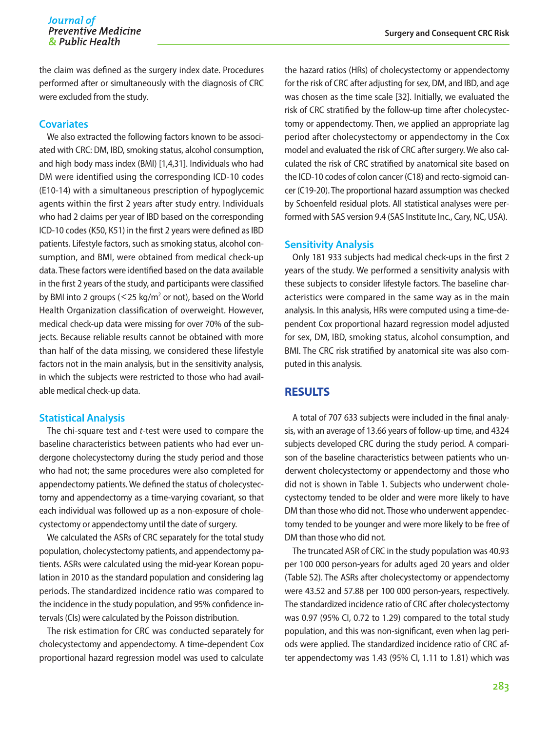the claim was defined as the surgery index date. Procedures performed after or simultaneously with the diagnosis of CRC were excluded from the study.

#### **Covariates**

We also extracted the following factors known to be associated with CRC: DM, IBD, smoking status, alcohol consumption, and high body mass index (BMI) [1,4,31]. Individuals who had DM were identified using the corresponding ICD-10 codes (E10-14) with a simultaneous prescription of hypoglycemic agents within the first 2 years after study entry. Individuals who had 2 claims per year of IBD based on the corresponding ICD-10 codes (K50, K51) in the first 2 years were defined as IBD patients. Lifestyle factors, such as smoking status, alcohol consumption, and BMI, were obtained from medical check-up data. These factors were identified based on the data available in the first 2 years of the study, and participants were classified by BMI into 2 groups ( $<$  25 kg/m<sup>2</sup> or not), based on the World Health Organization classification of overweight. However, medical check-up data were missing for over 70% of the subjects. Because reliable results cannot be obtained with more than half of the data missing, we considered these lifestyle factors not in the main analysis, but in the sensitivity analysis, in which the subjects were restricted to those who had available medical check-up data.

#### **Statistical Analysis**

The chi-square test and *t*-test were used to compare the baseline characteristics between patients who had ever undergone cholecystectomy during the study period and those who had not; the same procedures were also completed for appendectomy patients. We defined the status of cholecystectomy and appendectomy as a time-varying covariant, so that each individual was followed up as a non-exposure of cholecystectomy or appendectomy until the date of surgery.

We calculated the ASRs of CRC separately for the total study population, cholecystectomy patients, and appendectomy patients. ASRs were calculated using the mid-year Korean population in 2010 as the standard population and considering lag periods. The standardized incidence ratio was compared to the incidence in the study population, and 95% confidence intervals (CIs) were calculated by the Poisson distribution.

The risk estimation for CRC was conducted separately for cholecystectomy and appendectomy. A time-dependent Cox proportional hazard regression model was used to calculate

the hazard ratios (HRs) of cholecystectomy or appendectomy for the risk of CRC after adjusting for sex, DM, and IBD, and age was chosen as the time scale [32]. Initially, we evaluated the risk of CRC stratified by the follow-up time after cholecystectomy or appendectomy. Then, we applied an appropriate lag period after cholecystectomy or appendectomy in the Cox model and evaluated the risk of CRC after surgery. We also calculated the risk of CRC stratified by anatomical site based on the ICD-10 codes of colon cancer (C18) and recto-sigmoid cancer (C19-20). The proportional hazard assumption was checked by Schoenfeld residual plots. All statistical analyses were performed with SAS version 9.4 (SAS Institute Inc., Cary, NC, USA).

#### **Sensitivity Analysis**

Only 181 933 subjects had medical check-ups in the first 2 years of the study. We performed a sensitivity analysis with these subjects to consider lifestyle factors. The baseline characteristics were compared in the same way as in the main analysis. In this analysis, HRs were computed using a time-dependent Cox proportional hazard regression model adjusted for sex, DM, IBD, smoking status, alcohol consumption, and BMI. The CRC risk stratified by anatomical site was also computed in this analysis.

## **RESULTS**

A total of 707 633 subjects were included in the final analysis, with an average of 13.66 years of follow-up time, and 4324 subjects developed CRC during the study period. A comparison of the baseline characteristics between patients who underwent cholecystectomy or appendectomy and those who did not is shown in Table 1. Subjects who underwent cholecystectomy tended to be older and were more likely to have DM than those who did not. Those who underwent appendectomy tended to be younger and were more likely to be free of DM than those who did not.

The truncated ASR of CRC in the study population was 40.93 per 100 000 person-years for adults aged 20 years and older (Table S2). The ASRs after cholecystectomy or appendectomy were 43.52 and 57.88 per 100 000 person-years, respectively. The standardized incidence ratio of CRC after cholecystectomy was 0.97 (95% CI, 0.72 to 1.29) compared to the total study population, and this was non-significant, even when lag periods were applied. The standardized incidence ratio of CRC after appendectomy was 1.43 (95% CI, 1.11 to 1.81) which was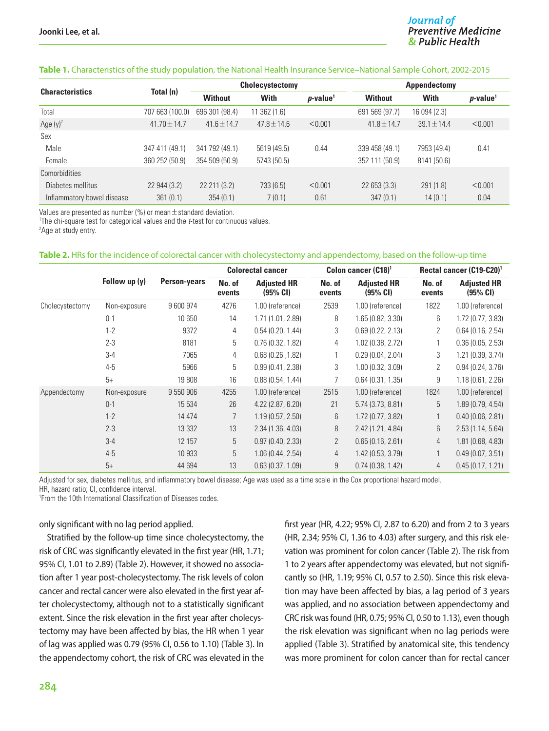#### **Table 1.** Characteristics of the study population, the National Health Insurance Service–National Sample Cohort, 2002-2015

| <b>Characteristics</b>     | Total (n)        |                 | Cholecystectomy  |                         | <b>Appendectomy</b> |                 |                      |  |
|----------------------------|------------------|-----------------|------------------|-------------------------|---------------------|-----------------|----------------------|--|
|                            |                  | <b>Without</b>  | <b>With</b>      | $p$ -value <sup>1</sup> | <b>Without</b>      | <b>With</b>     | p-value <sup>1</sup> |  |
| Total                      | 707 663 (100.0)  | 696 301 (98.4)  | $11$ 362 $(1.6)$ |                         | 569 (97.7)<br>691   | 16 094 (2.3)    |                      |  |
| Age $(y)^2$                | $41.70 \pm 14.7$ | $41.6 \pm 14.7$ | $47.8 \pm 14.6$  | < 0.001                 | $41.8 \pm 14.7$     | $39.1 \pm 14.4$ | < 0.001              |  |
| Sex                        |                  |                 |                  |                         |                     |                 |                      |  |
| Male                       | 347 411 (49.1)   | 341 792 (49.1)  | 5619 (49.5)      | 0.44                    | 339 458 (49.1)      | 7953 (49.4)     | 0.41                 |  |
| Female                     | 360 252 (50.9)   | 354 509 (50.9)  | 5743 (50.5)      |                         | 352 111 (50.9)      | 8141 (50.6)     |                      |  |
| Comorbidities              |                  |                 |                  |                         |                     |                 |                      |  |
| Diabetes mellitus          | 22 944 (3.2)     | 22 211 (3.2)    | 733 (6.5)        | < 0.001                 | 22 653 (3.3)        | 291(1.8)        | < 0.001              |  |
| Inflammatory bowel disease | 361(0.1)         | 354(0.1)        | 7(0.1)           | 0.61                    | 347(0.1)            | 14(0.1)         | 0.04                 |  |

Values are presented as number (%) or mean  $\pm$  standard deviation.

1 The chi-square test for categorical values and the *t*-test for continuous values.

<sup>2</sup>Age at study entry.

#### **Table 2.** HRs for the incidence of colorectal cancer with cholecystectomy and appendectomy, based on the follow-up time

|                 |               |                     | <b>Colorectal cancer</b> |                                |                  | Colon cancer (C18) <sup>1</sup> | Rectal cancer (C19-C20) <sup>1</sup> |                                |
|-----------------|---------------|---------------------|--------------------------|--------------------------------|------------------|---------------------------------|--------------------------------------|--------------------------------|
|                 | Follow up (y) | <b>Person-years</b> | No. of<br>events         | <b>Adjusted HR</b><br>(95% CI) | No. of<br>events | <b>Adjusted HR</b><br>(95% CI)  | No. of<br>events                     | <b>Adjusted HR</b><br>(95% CI) |
| Cholecystectomy | Non-exposure  | 9 600 974           | 4276                     | 1.00 (reference)               | 2539             | 1.00 (reference)                | 1822                                 | 1.00 (reference)               |
|                 | $0 - 1$       | 10650               | 14                       | 1.71(1.01, 2.89)               | 8                | 1.65(0.82, 3.30)                | 6                                    | 1.72(0.77, 3.83)               |
|                 | $1 - 2$       | 9372                | 4                        | 0.54(0.20, 1.44)               | 3                | 0.69(0.22, 2.13)                | $\overline{2}$                       | 0.64(0.16, 2.54)               |
|                 | $2 - 3$       | 8181                | 5                        | 0.76(0.32, 1.82)               | 4                | 1.02 (0.38, 2.72)               |                                      | 0.36(0.05, 2.53)               |
|                 | $3 - 4$       | 7065                | 4                        | 0.68(0.26, 1.82)               |                  | 0.29(0.04, 2.04)                | 3                                    | 1.21 (0.39, 3.74)              |
|                 | $4 - 5$       | 5966                | 5                        | 0.99(0.41, 2.38)               | 3                | 1.00(0.32, 3.09)                | $\overline{2}$                       | 0.94(0.24, 3.76)               |
|                 | $5+$          | 19808               | 16                       | 0.88(0.54, 1.44)               | 7                | 0.64(0.31, 1.35)                | 9                                    | 1.18(0.61, 2.26)               |
| Appendectomy    | Non-exposure  | 9 550 906           | 4255                     | 1.00 (reference)               | 2515             | 1.00 (reference)                | 1824                                 | 1.00 (reference)               |
|                 | $0 - 1$       | 15 5 34             | 26                       | $4.22$ (2.87, 6.20)            | 21               | 5.74 (3.73, 8.81)               | 5                                    | 1.89(0.79, 4.54)               |
|                 | $1 - 2$       | 14 4 7 4            | $\overline{7}$           | 1.19(0.57, 2.50)               | 6                | 1.72 (0.77, 3.82)               |                                      | 0.40(0.06, 2.81)               |
|                 | $2 - 3$       | 13 3 3 2            | 13                       | 2.34(1.36, 4.03)               | 8                | 2.42 (1.21, 4.84)               | 6                                    | 2.53(1.14, 5.64)               |
|                 | $3-4$         | 12 157              | 5                        | 0.97(0.40, 2.33)               | $\overline{2}$   | 0.65(0.16, 2.61)                | $\overline{4}$                       | 1.81 (0.68, 4.83)              |
|                 | $4 - 5$       | 10933               | 5                        | 1.06(0.44, 2.54)               | 4                | 1.42(0.53, 3.79)                |                                      | 0.49(0.07, 3.51)               |
|                 | $5+$          | 44 694              | 13                       | 0.63(0.37, 1.09)               | 9                | 0.74(0.38, 1.42)                | $\overline{4}$                       | 0.45(0.17, 1.21)               |

Adjusted for sex, diabetes mellitus, and inflammatory bowel disease; Age was used as a time scale in the Cox proportional hazard model.

HR, hazard ratio; CI, confidence interval.

1 From the 10th International Classification of Diseases codes.

#### only significant with no lag period applied.

Stratified by the follow-up time since cholecystectomy, the risk of CRC was significantly elevated in the first year (HR, 1.71; 95% CI, 1.01 to 2.89) (Table 2). However, it showed no association after 1 year post-cholecystectomy. The risk levels of colon cancer and rectal cancer were also elevated in the first year after cholecystectomy, although not to a statistically significant extent. Since the risk elevation in the first year after cholecystectomy may have been affected by bias, the HR when 1 year of lag was applied was 0.79 (95% CI, 0.56 to 1.10) (Table 3). In the appendectomy cohort, the risk of CRC was elevated in the first year (HR, 4.22; 95% CI, 2.87 to 6.20) and from 2 to 3 years (HR, 2.34; 95% CI, 1.36 to 4.03) after surgery, and this risk elevation was prominent for colon cancer (Table 2). The risk from 1 to 2 years after appendectomy was elevated, but not significantly so (HR, 1.19; 95% CI, 0.57 to 2.50). Since this risk elevation may have been affected by bias, a lag period of 3 years was applied, and no association between appendectomy and CRC risk was found (HR, 0.75; 95% CI, 0.50 to 1.13), even though the risk elevation was significant when no lag periods were applied (Table 3). Stratified by anatomical site, this tendency was more prominent for colon cancer than for rectal cancer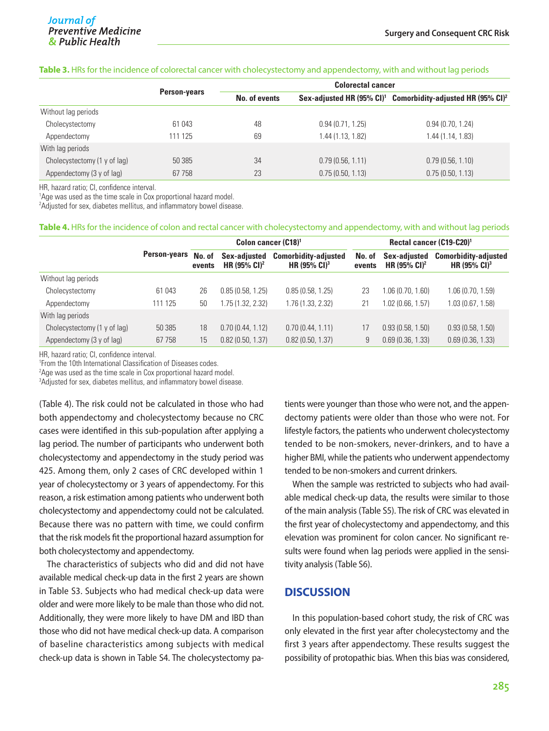#### **Table 3.** HRs for the incidence of colorectal cancer with cholecystectomy and appendectomy, with and without lag periods

|                              |                     | <b>Colorectal cancer</b> |                   |                                                                                     |  |  |  |
|------------------------------|---------------------|--------------------------|-------------------|-------------------------------------------------------------------------------------|--|--|--|
|                              | <b>Person-years</b> | No. of events            |                   | Sex-adjusted HR $(95\% \text{ Cl})^1$ Comorbidity-adjusted HR $(95\% \text{ Cl})^2$ |  |  |  |
| Without lag periods          |                     |                          |                   |                                                                                     |  |  |  |
| Cholecystectomy              | 61 043              | 48                       | 0.94(0.71, 1.25)  | 0.94(0.70, 1.24)                                                                    |  |  |  |
| Appendectomy                 | 111 125             | 69                       | 1.44 (1.13, 1.82) | 1.44 (1.14, 1.83)                                                                   |  |  |  |
| With lag periods             |                     |                          |                   |                                                                                     |  |  |  |
| Cholecystectomy (1 y of lag) | 50 385              | 34                       | 0.79(0.56, 1.11)  | 0.79(0.56, 1.10)                                                                    |  |  |  |
| Appendectomy (3 y of lag)    | 67 758              | 23                       | 0.75(0.50, 1.13)  | 0.75(0.50, 1.13)                                                                    |  |  |  |

HR, hazard ratio; CI, confidence interval.

<sup>1</sup>Age was used as the time scale in Cox proportional hazard model.

 $^2$ Adjusted for sex, diabetes mellitus, and inflammatory bowel disease.

#### **Table 4.** HRs for the incidence of colon and rectal cancer with cholecystectomy and appendectomy, with and without lag periods

|                              |              | Colon cancer (C18) <sup>1</sup> |                                          |                                                         | Rectal cancer (C19-C20) <sup>1</sup> |                                          |                                                         |  |
|------------------------------|--------------|---------------------------------|------------------------------------------|---------------------------------------------------------|--------------------------------------|------------------------------------------|---------------------------------------------------------|--|
|                              | Person-years | No. of<br>events                | Sex-adjusted<br>HR $(95\% \text{ Cl})^2$ | <b>Comorbidity-adjusted</b><br>HR $(95\% \text{ Cl})^3$ | No. of<br>events                     | Sex-adjusted<br>HR $(95\% \text{ Cl})^2$ | <b>Comorbidity-adjusted</b><br>HR $(95\% \text{ Cl})^3$ |  |
| Without lag periods          |              |                                 |                                          |                                                         |                                      |                                          |                                                         |  |
| Cholecystectomy              | 61 043       | 26                              | 0.85(0.58, 1.25)                         | 0.85(0.58, 1.25)                                        | 23                                   | 1.06 (0.70, 1.60)                        | 1.06(0.70, 1.59)                                        |  |
| Appendectomy                 | 111 125      | 50                              | 1.75 (1.32, 2.32)                        | 1.76 (1.33, 2.32)                                       | 21                                   | 1.02 (0.66, 1.57)                        | 1.03(0.67, 1.58)                                        |  |
| With lag periods             |              |                                 |                                          |                                                         |                                      |                                          |                                                         |  |
| Cholecystectomy (1 y of lag) | 50 385       | 18                              | 0.70(0.44, 1.12)                         | 0.70(0.44, 1.11)                                        | 17                                   | 0.93(0.58, 1.50)                         | 0.93(0.58, 1.50)                                        |  |
| Appendectomy (3 y of lag)    | 67 758       | 15                              | 0.82(0.50, 1.37)                         | 0.82(0.50, 1.37)                                        | 9                                    | 0.69(0.36, 1.33)                         | 0.69(0.36, 1.33)                                        |  |

HR, hazard ratio; CI, confidence interval.

1 From the 10th International Classification of Diseases codes.

2 Age was used as the time scale in Cox proportional hazard model.

3 Adjusted for sex, diabetes mellitus, and inflammatory bowel disease.

(Table 4). The risk could not be calculated in those who had both appendectomy and cholecystectomy because no CRC cases were identified in this sub-population after applying a lag period. The number of participants who underwent both cholecystectomy and appendectomy in the study period was 425. Among them, only 2 cases of CRC developed within 1 year of cholecystectomy or 3 years of appendectomy. For this reason, a risk estimation among patients who underwent both cholecystectomy and appendectomy could not be calculated. Because there was no pattern with time, we could confirm that the risk models fit the proportional hazard assumption for both cholecystectomy and appendectomy.

The characteristics of subjects who did and did not have available medical check-up data in the first 2 years are shown in Table S3. Subjects who had medical check-up data were older and were more likely to be male than those who did not. Additionally, they were more likely to have DM and IBD than those who did not have medical check-up data. A comparison of baseline characteristics among subjects with medical check-up data is shown in Table S4. The cholecystectomy pa-

tients were younger than those who were not, and the appendectomy patients were older than those who were not. For lifestyle factors, the patients who underwent cholecystectomy tended to be non-smokers, never-drinkers, and to have a higher BMI, while the patients who underwent appendectomy tended to be non-smokers and current drinkers.

When the sample was restricted to subjects who had available medical check-up data, the results were similar to those of the main analysis (Table S5). The risk of CRC was elevated in the first year of cholecystectomy and appendectomy, and this elevation was prominent for colon cancer. No significant results were found when lag periods were applied in the sensitivity analysis (Table S6).

## **DISCUSSION**

In this population-based cohort study, the risk of CRC was only elevated in the first year after cholecystectomy and the first 3 years after appendectomy. These results suggest the possibility of protopathic bias. When this bias was considered,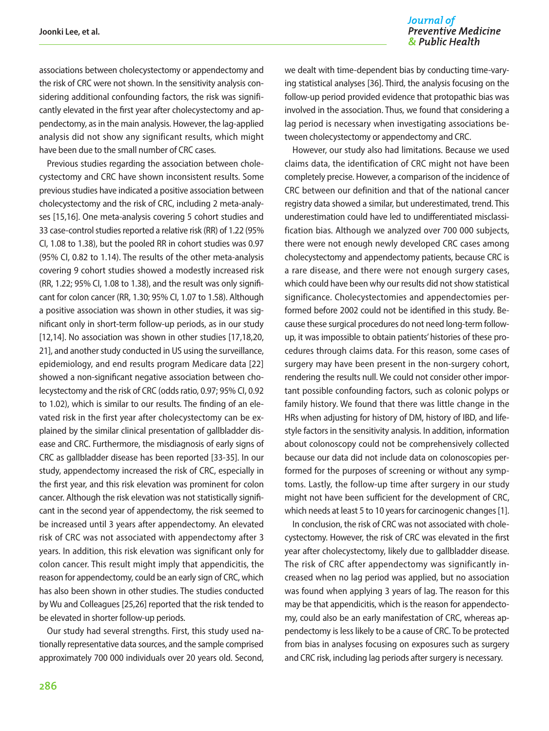#### Journal of **Preventive Medicine** & Public Health

associations between cholecystectomy or appendectomy and the risk of CRC were not shown. In the sensitivity analysis considering additional confounding factors, the risk was significantly elevated in the first year after cholecystectomy and appendectomy, as in the main analysis. However, the lag-applied analysis did not show any significant results, which might have been due to the small number of CRC cases.

Previous studies regarding the association between cholecystectomy and CRC have shown inconsistent results. Some previous studies have indicated a positive association between cholecystectomy and the risk of CRC, including 2 meta-analyses [15,16]. One meta-analysis covering 5 cohort studies and 33 case-control studies reported a relative risk (RR) of 1.22 (95% CI, 1.08 to 1.38), but the pooled RR in cohort studies was 0.97 (95% CI, 0.82 to 1.14). The results of the other meta-analysis covering 9 cohort studies showed a modestly increased risk (RR, 1.22; 95% CI, 1.08 to 1.38), and the result was only significant for colon cancer (RR, 1.30; 95% CI, 1.07 to 1.58). Although a positive association was shown in other studies, it was significant only in short-term follow-up periods, as in our study [12,14]. No association was shown in other studies [17,18,20, 21], and another study conducted in US using the surveillance, epidemiology, and end results program Medicare data [22] showed a non-significant negative association between cholecystectomy and the risk of CRC (odds ratio, 0.97; 95% CI, 0.92 to 1.02), which is similar to our results. The finding of an elevated risk in the first year after cholecystectomy can be explained by the similar clinical presentation of gallbladder disease and CRC. Furthermore, the misdiagnosis of early signs of CRC as gallbladder disease has been reported [33-35]. In our study, appendectomy increased the risk of CRC, especially in the first year, and this risk elevation was prominent for colon cancer. Although the risk elevation was not statistically significant in the second year of appendectomy, the risk seemed to be increased until 3 years after appendectomy. An elevated risk of CRC was not associated with appendectomy after 3 years. In addition, this risk elevation was significant only for colon cancer. This result might imply that appendicitis, the reason for appendectomy, could be an early sign of CRC, which has also been shown in other studies. The studies conducted by Wu and Colleagues [25,26] reported that the risk tended to be elevated in shorter follow-up periods.

Our study had several strengths. First, this study used nationally representative data sources, and the sample comprised approximately 700 000 individuals over 20 years old. Second,

we dealt with time-dependent bias by conducting time-varying statistical analyses [36]. Third, the analysis focusing on the follow-up period provided evidence that protopathic bias was involved in the association. Thus, we found that considering a lag period is necessary when investigating associations between cholecystectomy or appendectomy and CRC.

However, our study also had limitations. Because we used claims data, the identification of CRC might not have been completely precise. However, a comparison of the incidence of CRC between our definition and that of the national cancer registry data showed a similar, but underestimated, trend. This underestimation could have led to undifferentiated misclassification bias. Although we analyzed over 700 000 subjects, there were not enough newly developed CRC cases among cholecystectomy and appendectomy patients, because CRC is a rare disease, and there were not enough surgery cases, which could have been why our results did not show statistical significance. Cholecystectomies and appendectomies performed before 2002 could not be identified in this study. Because these surgical procedures do not need long-term followup, it was impossible to obtain patients' histories of these procedures through claims data. For this reason, some cases of surgery may have been present in the non-surgery cohort, rendering the results null. We could not consider other important possible confounding factors, such as colonic polyps or family history. We found that there was little change in the HRs when adjusting for history of DM, history of IBD, and lifestyle factors in the sensitivity analysis. In addition, information about colonoscopy could not be comprehensively collected because our data did not include data on colonoscopies performed for the purposes of screening or without any symptoms. Lastly, the follow-up time after surgery in our study might not have been sufficient for the development of CRC, which needs at least 5 to 10 years for carcinogenic changes [1].

In conclusion, the risk of CRC was not associated with cholecystectomy. However, the risk of CRC was elevated in the first year after cholecystectomy, likely due to gallbladder disease. The risk of CRC after appendectomy was significantly increased when no lag period was applied, but no association was found when applying 3 years of lag. The reason for this may be that appendicitis, which is the reason for appendectomy, could also be an early manifestation of CRC, whereas appendectomy is less likely to be a cause of CRC. To be protected from bias in analyses focusing on exposures such as surgery and CRC risk, including lag periods after surgery is necessary.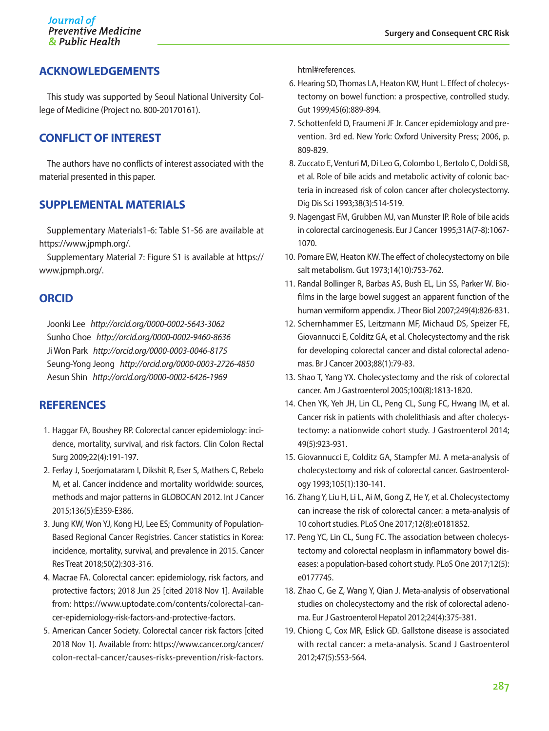## **ACKNOWLEDGEMENTS**

This study was supported by Seoul National University College of Medicine (Project no. 800-20170161).

## **CONFLICT OF INTEREST**

The authors have no conflicts of interest associated with the material presented in this paper.

## **SUPPLEMENTAL MATERIALS**

Supplementary Materials1-6: Table S1-S6 are available at https://www.jpmph.org/.

Supplementary Material 7: Figure S1 is available at https:// www.jpmph.org/.

## **ORCID**

Joonki Lee *http://orcid.org/0000-0002-5643-3062* Sunho Choe *http://orcid.org/0000-0002-9460-8636*  Ji Won Park *http://orcid.org/0000-0003-0046-8175* Seung-Yong Jeong *http://orcid.org/0000-0003-2726-4850* Aesun Shin *http://orcid.org/0000-0002-6426-1969*

## **REFERENCES**

- 1. Haggar FA, Boushey RP. Colorectal cancer epidemiology: incidence, mortality, survival, and risk factors. Clin Colon Rectal Surg 2009;22(4):191-197.
- 2. Ferlay J, Soerjomataram I, Dikshit R, Eser S, Mathers C, Rebelo M, et al. Cancer incidence and mortality worldwide: sources, methods and major patterns in GLOBOCAN 2012. Int J Cancer 2015;136(5):E359-E386.
- 3. Jung KW, Won YJ, Kong HJ, Lee ES; Community of Population-Based Regional Cancer Registries. Cancer statistics in Korea: incidence, mortality, survival, and prevalence in 2015. Cancer Res Treat 2018;50(2):303-316.
- 4. Macrae FA. Colorectal cancer: epidemiology, risk factors, and protective factors; 2018 Jun 25 [cited 2018 Nov 1]. Available from: https://www.uptodate.com/contents/colorectal-cancer-epidemiology-risk-factors-and-protective-factors.
- 5. American Cancer Society. Colorectal cancer risk factors [cited 2018 Nov 1]. Available from: https://www.cancer.org/cancer/ colon-rectal-cancer/causes-risks-prevention/risk-factors.

html#references.

- 6. Hearing SD, Thomas LA, Heaton KW, Hunt L. Effect of cholecystectomy on bowel function: a prospective, controlled study. Gut 1999;45(6):889-894.
- 7. Schottenfeld D, Fraumeni JF Jr. Cancer epidemiology and prevention. 3rd ed. New York: Oxford University Press; 2006, p. 809-829.
- 8. Zuccato E, Venturi M, Di Leo G, Colombo L, Bertolo C, Doldi SB, et al. Role of bile acids and metabolic activity of colonic bacteria in increased risk of colon cancer after cholecystectomy. Dig Dis Sci 1993;38(3):514-519.
- 9. Nagengast FM, Grubben MJ, van Munster IP. Role of bile acids in colorectal carcinogenesis. Eur J Cancer 1995;31A(7-8):1067- 1070.
- 10. Pomare EW, Heaton KW. The effect of cholecystectomy on bile salt metabolism. Gut 1973;14(10):753-762.
- 11. Randal Bollinger R, Barbas AS, Bush EL, Lin SS, Parker W. Biofilms in the large bowel suggest an apparent function of the human vermiform appendix. J Theor Biol 2007;249(4):826-831.
- 12. Schernhammer ES, Leitzmann MF, Michaud DS, Speizer FE, Giovannucci E, Colditz GA, et al. Cholecystectomy and the risk for developing colorectal cancer and distal colorectal adenomas. Br J Cancer 2003;88(1):79-83.
- 13. Shao T, Yang YX. Cholecystectomy and the risk of colorectal cancer. Am J Gastroenterol 2005;100(8):1813-1820.
- 14. Chen YK, Yeh JH, Lin CL, Peng CL, Sung FC, Hwang IM, et al. Cancer risk in patients with cholelithiasis and after cholecystectomy: a nationwide cohort study. J Gastroenterol 2014; 49(5):923-931.
- 15. Giovannucci E, Colditz GA, Stampfer MJ. A meta-analysis of cholecystectomy and risk of colorectal cancer. Gastroenterology 1993;105(1):130-141.
- 16. Zhang Y, Liu H, Li L, Ai M, Gong Z, He Y, et al. Cholecystectomy can increase the risk of colorectal cancer: a meta-analysis of 10 cohort studies. PLoS One 2017;12(8):e0181852.
- 17. Peng YC, Lin CL, Sung FC. The association between cholecystectomy and colorectal neoplasm in inflammatory bowel diseases: a population-based cohort study. PLoS One 2017;12(5): e0177745.
- 18. Zhao C, Ge Z, Wang Y, Qian J. Meta-analysis of observational studies on cholecystectomy and the risk of colorectal adenoma. Eur J Gastroenterol Hepatol 2012;24(4):375-381.
- 19. Chiong C, Cox MR, Eslick GD. Gallstone disease is associated with rectal cancer: a meta-analysis. Scand J Gastroenterol 2012;47(5):553-564.